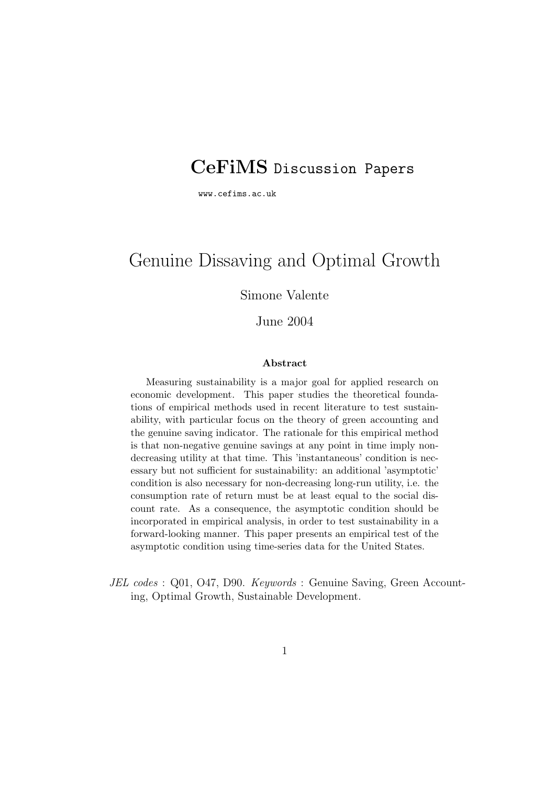# **CeFiMS** Discussion Papers

www.cefims.ac.uk

# Genuine Dissaving and Optimal Growth

Simone Valente

#### June 2004

#### **Abstract**

Measuring sustainability is a major goal for applied research on economic development. This paper studies the theoretical foundations of empirical methods used in recent literature to test sustainability, with particular focus on the theory of green accounting and the genuine saving indicator. The rationale for this empirical method is that non-negative genuine savings at any point in time imply nondecreasing utility at that time. This 'instantaneous' condition is necessary but not sufficient for sustainability: an additional 'asymptotic' condition is also necessary for non-decreasing long-run utility, i.e. the consumption rate of return must be at least equal to the social discount rate. As a consequence, the asymptotic condition should be incorporated in empirical analysis, in order to test sustainability in a forward-looking manner. This paper presents an empirical test of the asymptotic condition using time-series data for the United States.

JEL codes : Q01, O47, D90. Keywords : Genuine Saving, Green Accounting, Optimal Growth, Sustainable Development.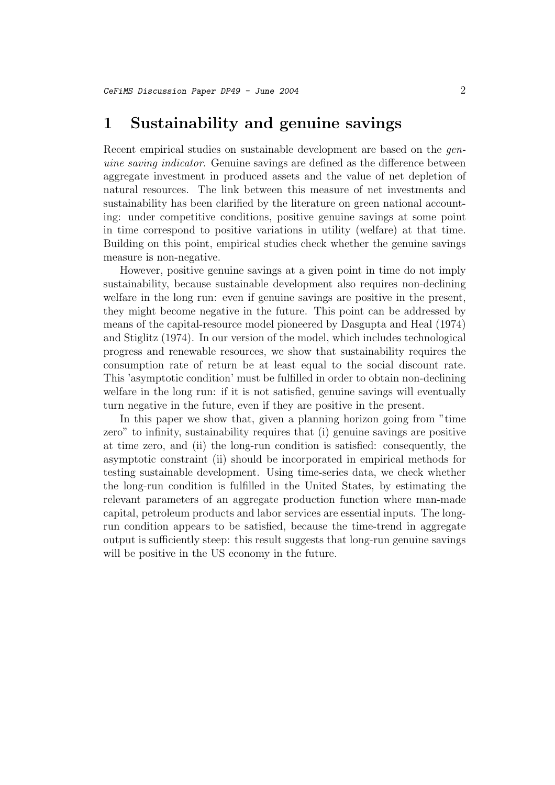### **1 Sustainability and genuine savings**

Recent empirical studies on sustainable development are based on the *gen*uine saving indicator. Genuine savings are defined as the difference between aggregate investment in produced assets and the value of net depletion of natural resources. The link between this measure of net investments and sustainability has been clarified by the literature on green national accounting: under competitive conditions, positive genuine savings at some point in time correspond to positive variations in utility (welfare) at that time. Building on this point, empirical studies check whether the genuine savings measure is non-negative.

However, positive genuine savings at a given point in time do not imply sustainability, because sustainable development also requires non-declining welfare in the long run: even if genuine savings are positive in the present, they might become negative in the future. This point can be addressed by means of the capital-resource model pioneered by Dasgupta and Heal (1974) and Stiglitz (1974). In our version of the model, which includes technological progress and renewable resources, we show that sustainability requires the consumption rate of return be at least equal to the social discount rate. This 'asymptotic condition' must be fulfilled in order to obtain non-declining welfare in the long run: if it is not satisfied, genuine savings will eventually turn negative in the future, even if they are positive in the present.

In this paper we show that, given a planning horizon going from "time" zero" to infinity, sustainability requires that (i) genuine savings are positive at time zero, and (ii) the long-run condition is satisfied: consequently, the asymptotic constraint (ii) should be incorporated in empirical methods for testing sustainable development. Using time-series data, we check whether the long-run condition is fulfilled in the United States, by estimating the relevant parameters of an aggregate production function where man-made capital, petroleum products and labor services are essential inputs. The longrun condition appears to be satisfied, because the time-trend in aggregate output is sufficiently steep: this result suggests that long-run genuine savings will be positive in the US economy in the future.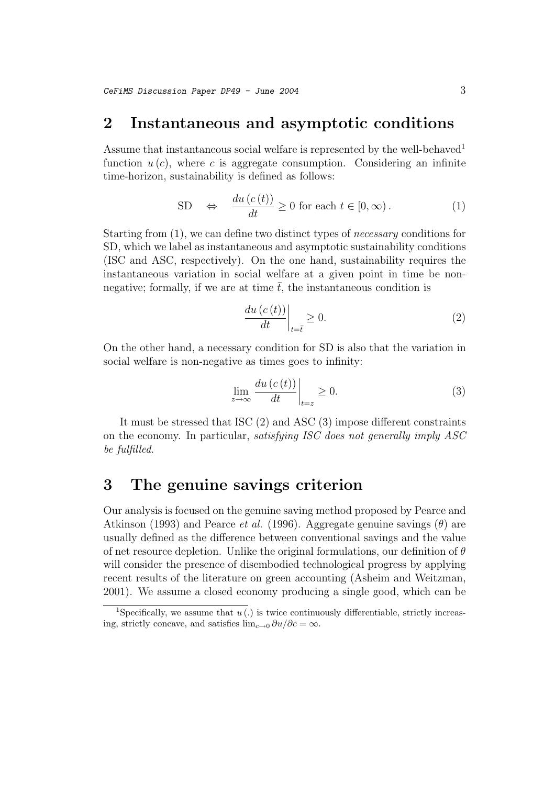### **2 Instantaneous and asymptotic conditions**

Assume that instantaneous social welfare is represented by the well-behaved<sup>1</sup> function  $u(c)$ , where c is aggregate consumption. Considering an infinite time-horizon, sustainability is defined as follows:

SD 
$$
\Leftrightarrow
$$
  $\frac{du(c(t))}{dt} \ge 0$  for each  $t \in [0, \infty)$ . (1)

Starting from (1), we can define two distinct types of necessary conditions for SD, which we label as instantaneous and asymptotic sustainability conditions (ISC and ASC, respectively). On the one hand, sustainability requires the instantaneous variation in social welfare at a given point in time be nonnegative; formally, if we are at time  $\bar{t}$ , the instantaneous condition is

$$
\left. \frac{du\left(c\left(t\right)\right)}{dt}\right|_{t=\bar{t}} \ge 0. \tag{2}
$$

On the other hand, a necessary condition for SD is also that the variation in social welfare is non-negative as times goes to infinity:

$$
\lim_{z \to \infty} \frac{du\left(c\left(t\right)\right)}{dt}\bigg|_{t=z} \ge 0. \tag{3}
$$

It must be stressed that ISC (2) and ASC (3) impose different constraints on the economy. In particular, satisfying ISC does not generally imply ASC be fulfilled.

### **3 The genuine savings criterion**

Our analysis is focused on the genuine saving method proposed by Pearce and Atkinson (1993) and Pearce *et al.* (1996). Aggregate genuine savings  $(\theta)$  are usually defined as the difference between conventional savings and the value of net resource depletion. Unlike the original formulations, our definition of  $\theta$ will consider the presence of disembodied technological progress by applying recent results of the literature on green accounting (Asheim and Weitzman, 2001). We assume a closed economy producing a single good, which can be

<sup>&</sup>lt;sup>1</sup>Specifically, we assume that  $u(.)$  is twice continuously differentiable, strictly increasing, strictly concave, and satisfies  $\lim_{c\to 0} \frac{\partial u}{\partial c} = \infty$ .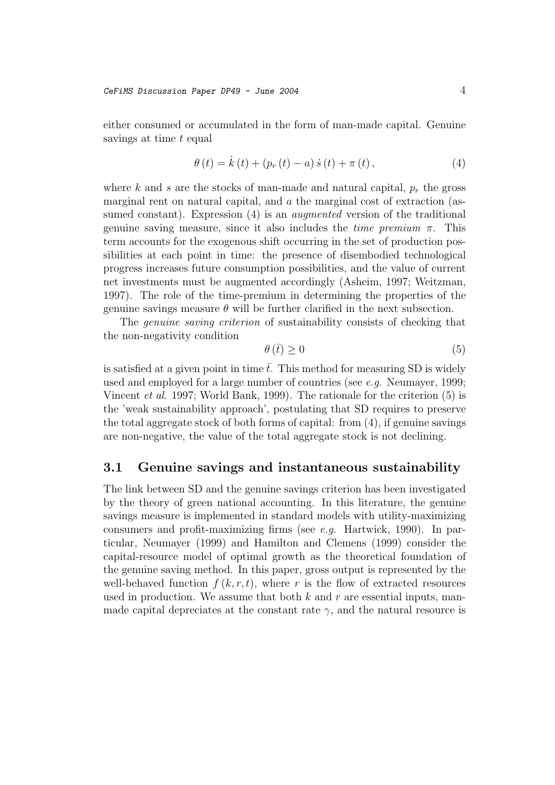either consumed or accumulated in the form of man-made capital. Genuine savings at time t equal

$$
\theta(t) = \dot{k}(t) + (p_r(t) - a)\dot{s}(t) + \pi(t),
$$
\n(4)

where k and s are the stocks of man-made and natural capital,  $p_r$  the gross marginal rent on natural capital, and  $\alpha$  the marginal cost of extraction (assumed constant). Expression (4) is an *augmented* version of the traditional genuine saving measure, since it also includes the *time premium*  $\pi$ . This term accounts for the exogenous shift occurring in the set of production possibilities at each point in time: the presence of disembodied technological progress increases future consumption possibilities, and the value of current net investments must be augmented accordingly (Asheim, 1997; Weitzman, 1997). The role of the time-premium in determining the properties of the genuine savings measure  $\theta$  will be further clarified in the next subsection.

The genuine saving criterion of sustainability consists of checking that the non-negativity condition

$$
\theta\left(\bar{t}\right) \ge 0\tag{5}
$$

is satisfied at a given point in time  $\bar{t}$ . This method for measuring SD is widely used and employed for a large number of countries (see e.g. Neumayer, 1999; Vincent *et al.* 1997; World Bank, 1999). The rationale for the criterion  $(5)$  is the 'weak sustainability approach', postulating that SD requires to preserve the total aggregate stock of both forms of capital: from (4), if genuine savings are non-negative, the value of the total aggregate stock is not declining.

#### **3.1 Genuine savings and instantaneous sustainability**

The link between SD and the genuine savings criterion has been investigated by the theory of green national accounting. In this literature, the genuine savings measure is implemented in standard models with utility-maximizing consumers and profit-maximizing firms (see e.g. Hartwick, 1990). In particular, Neumayer (1999) and Hamilton and Clemens (1999) consider the capital-resource model of optimal growth as the theoretical foundation of the genuine saving method. In this paper, gross output is represented by the well-behaved function  $f(k, r, t)$ , where r is the flow of extracted resources used in production. We assume that both  $k$  and  $r$  are essential inputs, manmade capital depreciates at the constant rate  $\gamma$ , and the natural resource is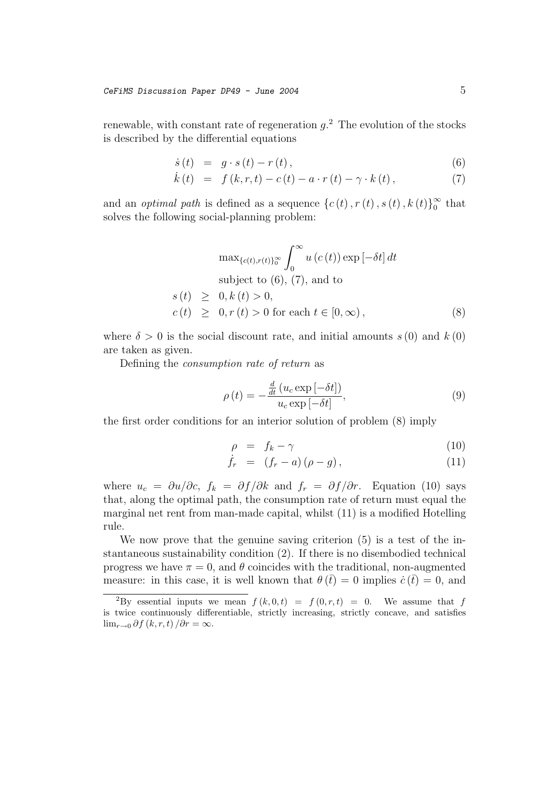renewable, with constant rate of regeneration  $g^2$ . The evolution of the stocks is described by the differential equations

$$
\dot{s}(t) = g \cdot s(t) - r(t), \qquad (6)
$$

$$
\dot{k}(t) = f(k,r,t) - c(t) - a \cdot r(t) - \gamma \cdot k(t), \qquad (7)
$$

and an *optimal path* is defined as a sequence  $\{c(t), r(t), s(t), k(t)\}_0^{\infty}$  that solves the following social-planning problem:

$$
\max_{\{c(t), r(t)\}_0^{\infty}} \int_0^{\infty} u(c(t)) \exp[-\delta t] dt
$$
  
subject to (6), (7), and to  

$$
s(t) \geq 0, k(t) > 0,
$$
  

$$
c(t) \geq 0, r(t) > 0 \text{ for each } t \in [0, \infty),
$$
 (8)

where  $\delta > 0$  is the social discount rate, and initial amounts  $s(0)$  and  $k(0)$ are taken as given.

Defining the consumption rate of return as

$$
\rho(t) = -\frac{\frac{d}{dt} (u_c \exp[-\delta t])}{u_c \exp[-\delta t]},
$$
\n(9)

the first order conditions for an interior solution of problem (8) imply

$$
\rho = f_k - \gamma \tag{10}
$$

$$
\dot{f}_r = (f_r - a)(\rho - g), \qquad (11)
$$

where  $u_c = \partial u / \partial c$ ,  $f_k = \partial f / \partial k$  and  $f_r = \partial f / \partial r$ . Equation (10) says that, along the optimal path, the consumption rate of return must equal the marginal net rent from man-made capital, whilst (11) is a modified Hotelling rule.

We now prove that the genuine saving criterion (5) is a test of the instantaneous sustainability condition (2). If there is no disembodied technical progress we have  $\pi = 0$ , and  $\theta$  coincides with the traditional, non-augmented measure: in this case, it is well known that  $\theta(\bar{t}) = 0$  implies  $\dot{c}(\bar{t}) = 0$ , and

<sup>&</sup>lt;sup>2</sup>By essential inputs we mean  $f (k, 0, t) = f (0, r, t) = 0$ . We assume that f is twice continuously differentiable, strictly increasing, strictly concave, and satisfies  $\lim_{r\to 0} \partial f(k,r,t)/\partial r = \infty.$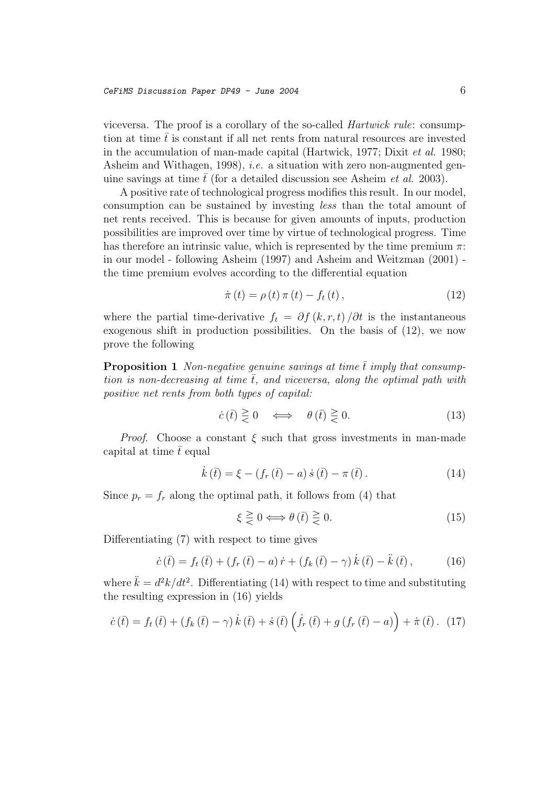viceversa. The proof is a corollary of the so-called Hartwick rule: consumption at time  $\bar{t}$  is constant if all net rents from natural resources are invested in the accumulation of man-made capital (Hartwick, 1977; Dixit et al. 1980; Asheim and Withagen, 1998), *i.e.* a situation with zero non-augmented genuine savings at time  $\bar{t}$  (for a detailed discussion see Asheim *et al.* 2003).

A positive rate of technological progress modifies this result. In our model, consumption can be sustained by investing less than the total amount of net rents received. This is because for given amounts of inputs, production possibilities are improved over time by virtue of technological progress. Time has therefore an intrinsic value, which is represented by the time premium  $\pi$ : in our model - following Asheim (1997) and Asheim and Weitzman (2001) the time premium evolves according to the differential equation

$$
\dot{\pi}(t) = \rho(t)\,\pi(t) - f_t(t)\,,\tag{12}
$$

where the partial time-derivative  $f_t = \partial f(k, r, t) / \partial t$  is the instantaneous exogenous shift in production possibilities. On the basis of (12), we now prove the following

**Proposition 1** Non-negative genuine savings at time  $\bar{t}$  imply that consumption is non-decreasing at time  $\bar{t}$ , and viceversa, along the optimal path with positive net rents from both types of capital:

$$
\dot{c}(\bar{t}) \ge 0 \iff \theta(\bar{t}) \ge 0. \tag{13}
$$

*Proof.* Choose a constant  $\xi$  such that gross investments in man-made capital at time  $\bar{t}$  equal

$$
\dot{k}(\bar{t}) = \xi - (f_r(\bar{t}) - a)\,\dot{s}(\bar{t}) - \pi(\bar{t}).\tag{14}
$$

Since  $p_r = f_r$  along the optimal path, it follows from (4) that

$$
\xi \ge 0 \Longleftrightarrow \theta \left( \overline{t} \right) \ge 0. \tag{15}
$$

Differentiating (7) with respect to time gives

$$
\dot{c}(\bar{t}) = f_t(\bar{t}) + (f_r(\bar{t}) - a)\dot{r} + (f_k(\bar{t}) - \gamma)\dot{k}(\bar{t}) - \ddot{k}(\bar{t}), \qquad (16)
$$

where  $\ddot{k} = d^2k/dt^2$ . Differentiating (14) with respect to time and substituting the resulting expression in (16) yields

$$
\dot{c}(\bar{t}) = f_t(\bar{t}) + (f_k(\bar{t}) - \gamma) \dot{k}(\bar{t}) + \dot{s}(\bar{t}) \left( \dot{f}_r(\bar{t}) + g(f_r(\bar{t}) - a) \right) + \dot{\pi}(\bar{t}). \tag{17}
$$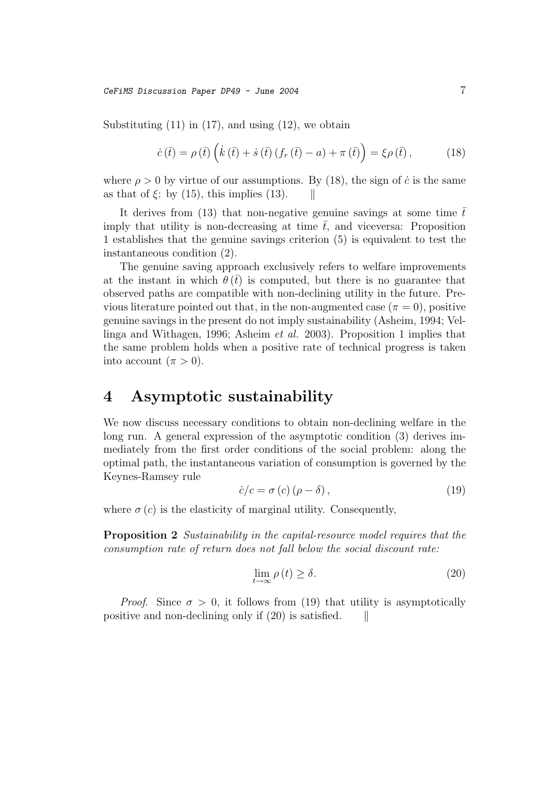CeFiMS Discussion Paper DP49 - June 2004 7

Substituting  $(11)$  in  $(17)$ , and using  $(12)$ , we obtain

$$
\dot{c}(\bar{t}) = \rho(\bar{t}) \left( \dot{k}(\bar{t}) + \dot{s}(\bar{t}) \left( f_r(\bar{t}) - a \right) + \pi(\bar{t}) \right) = \xi \rho(\bar{t}), \quad (18)
$$

where  $\rho > 0$  by virtue of our assumptions. By (18), the sign of  $\dot{c}$  is the same as that of  $\xi$ : by (15), this implies (13).

It derives from (13) that non-negative genuine savings at some time  $\bar{t}$ imply that utility is non-decreasing at time  $\bar{t}$ , and viceversa: Proposition 1 establishes that the genuine savings criterion (5) is equivalent to test the instantaneous condition (2).

The genuine saving approach exclusively refers to welfare improvements at the instant in which  $\theta(\bar{t})$  is computed, but there is no guarantee that observed paths are compatible with non-declining utility in the future. Previous literature pointed out that, in the non-augmented case  $(\pi = 0)$ , positive genuine savings in the present do not imply sustainability (Asheim, 1994; Vellinga and Withagen, 1996; Asheim et al. 2003). Proposition 1 implies that the same problem holds when a positive rate of technical progress is taken into account  $(\pi > 0)$ .

### **4 Asymptotic sustainability**

We now discuss necessary conditions to obtain non-declining welfare in the long run. A general expression of the asymptotic condition (3) derives immediately from the first order conditions of the social problem: along the optimal path, the instantaneous variation of consumption is governed by the Keynes-Ramsey rule

$$
\dot{c}/c = \sigma(c)(\rho - \delta),\tag{19}
$$

where  $\sigma(c)$  is the elasticity of marginal utility. Consequently,

**Proposition 2** Sustainability in the capital-resource model requires that the consumption rate of return does not fall below the social discount rate:

$$
\lim_{t \to \infty} \rho(t) \ge \delta. \tag{20}
$$

*Proof.* Since  $\sigma > 0$ , it follows from (19) that utility is asymptotically positive and non-declining only if  $(20)$  is satisfied.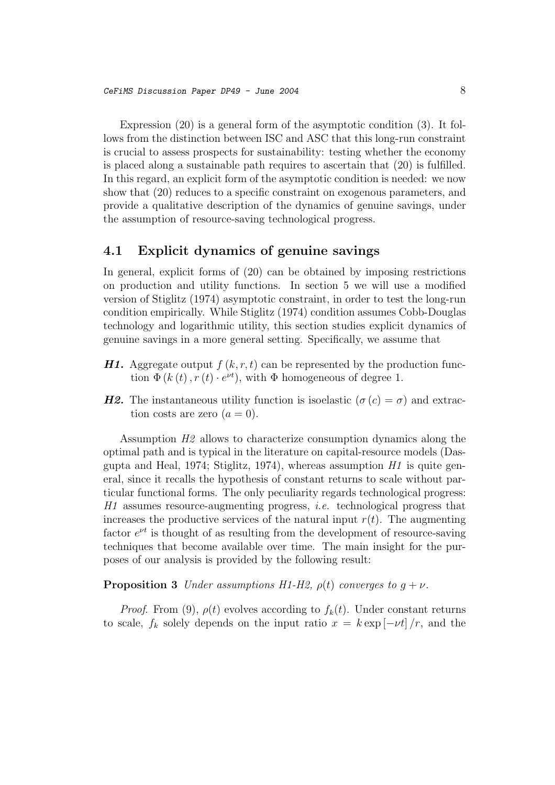Expression (20) is a general form of the asymptotic condition (3). It follows from the distinction between ISC and ASC that this long-run constraint is crucial to assess prospects for sustainability: testing whether the economy is placed along a sustainable path requires to ascertain that (20) is fulfilled. In this regard, an explicit form of the asymptotic condition is needed: we now show that (20) reduces to a specific constraint on exogenous parameters, and provide a qualitative description of the dynamics of genuine savings, under the assumption of resource-saving technological progress.

#### **4.1 Explicit dynamics of genuine savings**

In general, explicit forms of (20) can be obtained by imposing restrictions on production and utility functions. In section 5 we will use a modified version of Stiglitz (1974) asymptotic constraint, in order to test the long-run condition empirically. While Stiglitz (1974) condition assumes Cobb-Douglas technology and logarithmic utility, this section studies explicit dynamics of genuine savings in a more general setting. Specifically, we assume that

- *H1.* Aggregate output  $f(k, r, t)$  can be represented by the production function  $\Phi(k(t), r(t) \cdot e^{\nu t})$ , with  $\Phi$  homogeneous of degree 1.
- *H2.* The instantaneous utility function is isoelastic  $(\sigma(c) = \sigma)$  and extraction costs are zero  $(a = 0)$ .

Assumption H2 allows to characterize consumption dynamics along the optimal path and is typical in the literature on capital-resource models (Dasgupta and Heal, 1974; Stiglitz, 1974), whereas assumption  $H1$  is quite general, since it recalls the hypothesis of constant returns to scale without particular functional forms. The only peculiarity regards technological progress: H1 assumes resource-augmenting progress, i.e. technological progress that increases the productive services of the natural input  $r(t)$ . The augmenting factor  $e^{\nu t}$  is thought of as resulting from the development of resource-saving techniques that become available over time. The main insight for the purposes of our analysis is provided by the following result:

#### **Proposition 3** Under assumptions H1-H2,  $\rho(t)$  converges to  $g + \nu$ .

*Proof.* From (9),  $\rho(t)$  evolves according to  $f_k(t)$ . Under constant returns to scale,  $f_k$  solely depends on the input ratio  $x = k \exp[-\nu t]/r$ , and the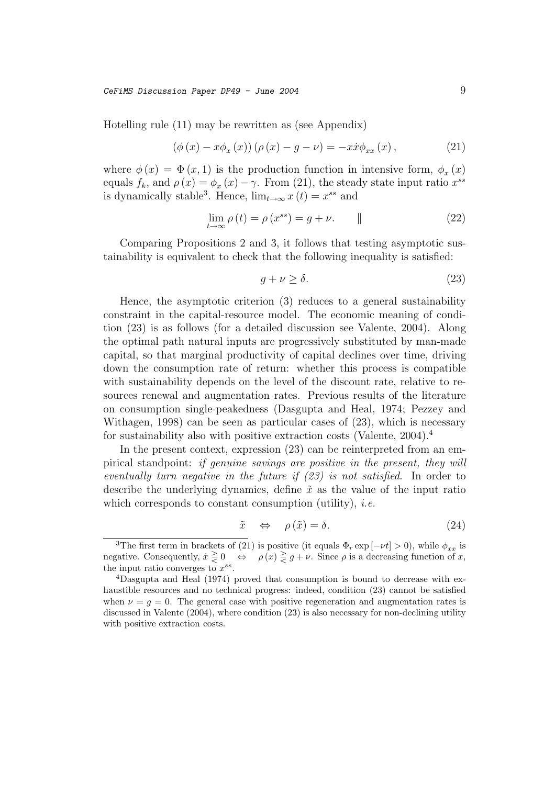$CefiMS$  Discussion Paper DP49 - June 2004  $9$ 

Hotelling rule (11) may be rewritten as (see Appendix)

$$
(\phi(x) - x\phi_x(x))(\rho(x) - g - \nu) = -x\dot{x}\phi_{xx}(x), \qquad (21)
$$

where  $\phi(x) = \Phi(x, 1)$  is the production function in intensive form,  $\phi_x(x)$ equals  $f_k$ , and  $\rho(x) = \phi_x(x) - \gamma$ . From (21), the steady state input ratio  $x^{ss}$ is dynamically stable<sup>3</sup>. Hence,  $\lim_{t\to\infty} x(t) = x^{ss}$  and

$$
\lim_{t \to \infty} \rho(t) = \rho(x^{ss}) = g + \nu. \tag{22}
$$

Comparing Propositions 2 and 3, it follows that testing asymptotic sustainability is equivalent to check that the following inequality is satisfied:

$$
g + \nu \ge \delta. \tag{23}
$$

Hence, the asymptotic criterion (3) reduces to a general sustainability constraint in the capital-resource model. The economic meaning of condition (23) is as follows (for a detailed discussion see Valente, 2004). Along the optimal path natural inputs are progressively substituted by man-made capital, so that marginal productivity of capital declines over time, driving down the consumption rate of return: whether this process is compatible with sustainability depends on the level of the discount rate, relative to resources renewal and augmentation rates. Previous results of the literature on consumption single-peakedness (Dasgupta and Heal, 1974; Pezzey and Withagen, 1998) can be seen as particular cases of (23), which is necessary for sustainability also with positive extraction costs (Valente, 2004).<sup>4</sup>

In the present context, expression  $(23)$  can be reinterpreted from an empirical standpoint: if genuine savings are positive in the present, they will eventually turn negative in the future if (23) is not satisfied. In order to describe the underlying dynamics, define  $\tilde{x}$  as the value of the input ratio which corresponds to constant consumption (utility), *i.e.* 

$$
\tilde{x} \quad \Leftrightarrow \quad \rho\left(\tilde{x}\right) = \delta. \tag{24}
$$

<sup>&</sup>lt;sup>3</sup>The first term in brackets of (21) is positive (it equals  $\Phi_r \exp[-\nu t] > 0$ ), while  $\phi_{xx}$  is negative. Consequently,  $\dot{x} \ge 0 \Leftrightarrow \rho(x) \ge g + \nu$ . Since  $\rho$  is a decreasing function of x, the input ratio converges to  $x^{ss}$ .

 ${}^{4}$ Dasgupta and Heal (1974) proved that consumption is bound to decrease with exhaustible resources and no technical progress: indeed, condition (23) cannot be satisfied when  $\nu = g = 0$ . The general case with positive regeneration and augmentation rates is discussed in Valente (2004), where condition (23) is also necessary for non-declining utility with positive extraction costs.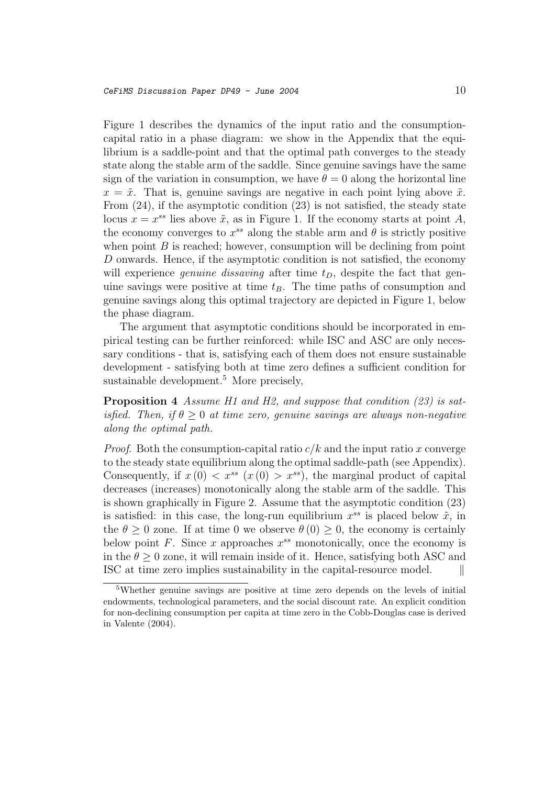Figure 1 describes the dynamics of the input ratio and the consumptioncapital ratio in a phase diagram: we show in the Appendix that the equilibrium is a saddle-point and that the optimal path converges to the steady state along the stable arm of the saddle. Since genuine savings have the same sign of the variation in consumption, we have  $\theta = 0$  along the horizontal line  $x = \tilde{x}$ . That is, genuine savings are negative in each point lying above  $\tilde{x}$ . From (24), if the asymptotic condition (23) is not satisfied, the steady state locus  $x = x^{ss}$  lies above  $\tilde{x}$ , as in Figure 1. If the economy starts at point A, the economy converges to  $x^{ss}$  along the stable arm and  $\theta$  is strictly positive when point  $B$  is reached; however, consumption will be declining from point D onwards. Hence, if the asymptotic condition is not satisfied, the economy will experience *genuine dissaving* after time  $t_D$ , despite the fact that genuine savings were positive at time  $t_B$ . The time paths of consumption and genuine savings along this optimal trajectory are depicted in Figure 1, below the phase diagram.

The argument that asymptotic conditions should be incorporated in empirical testing can be further reinforced: while ISC and ASC are only necessary conditions - that is, satisfying each of them does not ensure sustainable development - satisfying both at time zero defines a sufficient condition for sustainable development.<sup>5</sup> More precisely,

**Proposition 4** Assume H1 and H2, and suppose that condition (23) is satisfied. Then, if  $\theta > 0$  at time zero, genuine savings are always non-negative along the optimal path.

*Proof.* Both the consumption-capital ratio  $c/k$  and the input ratio x converge to the steady state equilibrium along the optimal saddle-path (see Appendix). Consequently, if  $x(0) < x^{ss}$   $(x(0) > x^{ss})$ , the marginal product of capital decreases (increases) monotonically along the stable arm of the saddle. This is shown graphically in Figure 2. Assume that the asymptotic condition (23) is satisfied: in this case, the long-run equilibrium  $x^{ss}$  is placed below  $\tilde{x}$ , in the  $\theta \geq 0$  zone. If at time 0 we observe  $\theta(0) \geq 0$ , the economy is certainly below point F. Since x approaches  $x^{ss}$  monotonically, once the economy is in the  $\theta > 0$  zone, it will remain inside of it. Hence, satisfying both ASC and ISC at time zero implies sustainability in the capital-resource model.

<sup>5</sup>Whether genuine savings are positive at time zero depends on the levels of initial endowments, technological parameters, and the social discount rate. An explicit condition for non-declining consumption per capita at time zero in the Cobb-Douglas case is derived in Valente (2004).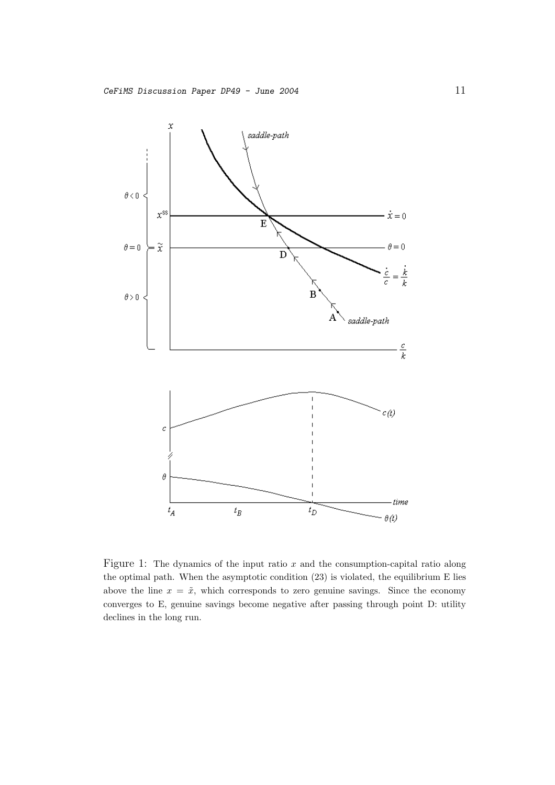

Figure 1: The dynamics of the input ratio  $x$  and the consumption-capital ratio along the optimal path. When the asymptotic condition (23) is violated, the equilibrium E lies above the line  $x = \tilde{x}$ , which corresponds to zero genuine savings. Since the economy converges to E, genuine savings become negative after passing through point D: utility declines in the long run.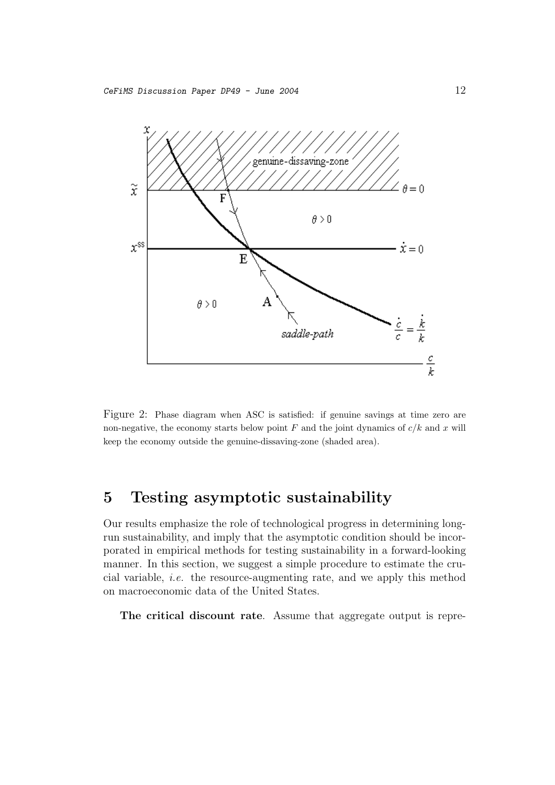

Figure 2: Phase diagram when ASC is satisfied: if genuine savings at time zero are non-negative, the economy starts below point  $F$  and the joint dynamics of  $c/k$  and x will keep the economy outside the genuine-dissaving-zone (shaded area).

# **5 Testing asymptotic sustainability**

Our results emphasize the role of technological progress in determining longrun sustainability, and imply that the asymptotic condition should be incorporated in empirical methods for testing sustainability in a forward-looking manner. In this section, we suggest a simple procedure to estimate the crucial variable, i.e. the resource-augmenting rate, and we apply this method on macroeconomic data of the United States.

**The critical discount rate**. Assume that aggregate output is repre-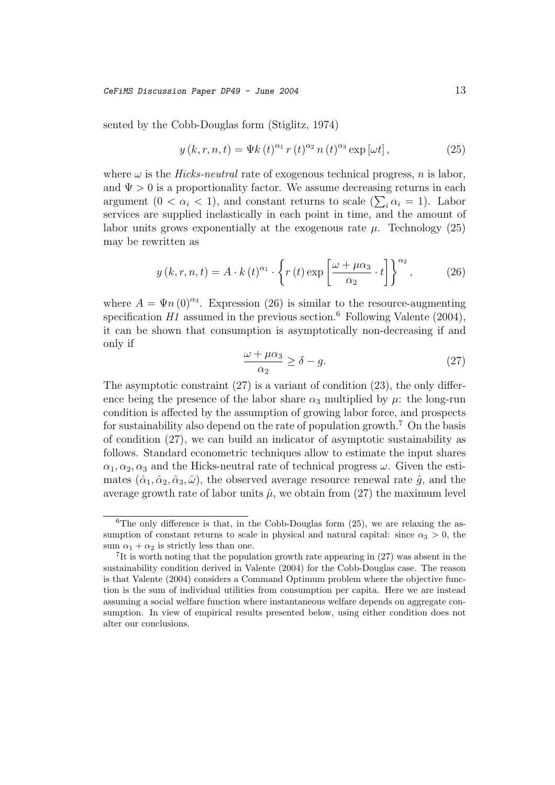$CefiMS$  Discussion Paper DP49 - June 2004 13

sented by the Cobb-Douglas form (Stiglitz, 1974)

$$
y(k,r,n,t) = \Psi k(t)^{\alpha_1} r(t)^{\alpha_2} n(t)^{\alpha_3} \exp[\omega t], \qquad (25)
$$

where  $\omega$  is the *Hicks-neutral* rate of exogenous technical progress, n is labor, and  $\Psi > 0$  is a proportionality factor. We assume decreasing returns in each argument  $(0 < \alpha_i < 1)$ , and constant returns to scale  $(\sum_i \alpha_i = 1)$ . Labor services are supplied inelastically in each point in time, and the amount of labor units grows exponentially at the exogenous rate  $\mu$ . Technology (25) may be rewritten as

$$
y(k, r, n, t) = A \cdot k(t)^{\alpha_1} \cdot \left\{ r(t) \exp \left[ \frac{\omega + \mu \alpha_3}{\alpha_2} \cdot t \right] \right\}^{\alpha_2},\tag{26}
$$

where  $A = \Psi n (0)^{\alpha_3}$ . Expression (26) is similar to the resource-augmenting specification  $H1$  assumed in the previous section.<sup>6</sup> Following Valente (2004), it can be shown that consumption is asymptotically non-decreasing if and only if

$$
\frac{\omega + \mu \alpha_3}{\alpha_2} \ge \delta - g. \tag{27}
$$

The asymptotic constraint (27) is a variant of condition (23), the only difference being the presence of the labor share  $\alpha_3$  multiplied by  $\mu$ : the long-run condition is affected by the assumption of growing labor force, and prospects for sustainability also depend on the rate of population growth.<sup>7</sup> On the basis of condition (27), we can build an indicator of asymptotic sustainability as follows. Standard econometric techniques allow to estimate the input shares  $\alpha_1, \alpha_2, \alpha_3$  and the Hicks-neutral rate of technical progress  $\omega$ . Given the estimates  $(\hat{\alpha}_1, \hat{\alpha}_2, \hat{\alpha}_3, \hat{\omega})$ , the observed average resource renewal rate  $\hat{g}$ , and the average growth rate of labor units  $\hat{\mu}$ , we obtain from (27) the maximum level

<sup>&</sup>lt;sup>6</sup>The only difference is that, in the Cobb-Douglas form  $(25)$ , we are relaxing the assumption of constant returns to scale in physical and natural capital: since  $\alpha_3 > 0$ , the sum  $\alpha_1 + \alpha_2$  is strictly less than one.

<sup>7</sup>It is worth noting that the population growth rate appearing in (27) was absent in the sustainability condition derived in Valente (2004) for the Cobb-Douglas case. The reason is that Valente (2004) considers a Command Optimum problem where the objective function is the sum of individual utilities from consumption per capita. Here we are instead assuming a social welfare function where instantaneous welfare depends on aggregate consumption. In view of empirical results presented below, using either condition does not alter our conclusions.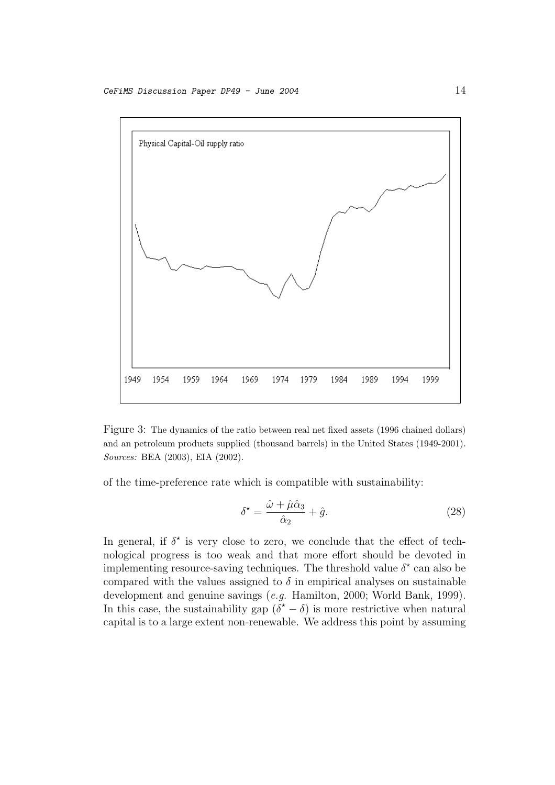

Figure 3: The dynamics of the ratio between real net fixed assets (1996 chained dollars) and an petroleum products supplied (thousand barrels) in the United States (1949-2001). Sources: BEA (2003), EIA (2002).

of the time-preference rate which is compatible with sustainability:

$$
\delta^* = \frac{\hat{\omega} + \hat{\mu}\hat{\alpha}_3}{\hat{\alpha}_2} + \hat{g}.\tag{28}
$$

In general, if  $\delta^*$  is very close to zero, we conclude that the effect of technological progress is too weak and that more effort should be devoted in implementing resource-saving techniques. The threshold value  $\delta^*$  can also be compared with the values assigned to  $\delta$  in empirical analyses on sustainable development and genuine savings (e.g. Hamilton, 2000; World Bank, 1999). In this case, the sustainability gap  $(\delta^* - \delta)$  is more restrictive when natural capital is to a large extent non-renewable. We address this point by assuming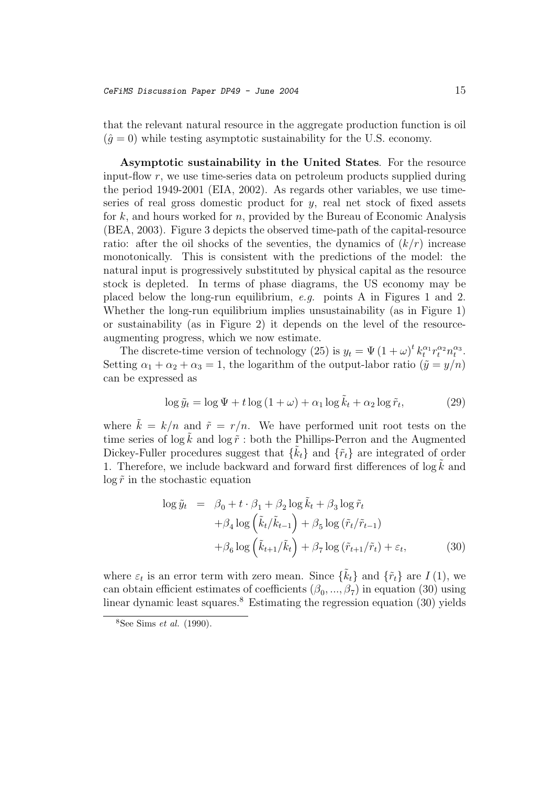that the relevant natural resource in the aggregate production function is oil  $(\hat{q}=0)$  while testing asymptotic sustainability for the U.S. economy.

**Asymptotic sustainability in the United States**. For the resource input-flow r, we use time-series data on petroleum products supplied during the period 1949-2001 (EIA, 2002). As regards other variables, we use timeseries of real gross domestic product for  $y$ , real net stock of fixed assets for  $k$ , and hours worked for n, provided by the Bureau of Economic Analysis (BEA, 2003). Figure 3 depicts the observed time-path of the capital-resource ratio: after the oil shocks of the seventies, the dynamics of  $(k/r)$  increase monotonically. This is consistent with the predictions of the model: the natural input is progressively substituted by physical capital as the resource stock is depleted. In terms of phase diagrams, the US economy may be placed below the long-run equilibrium, e.g. points A in Figures 1 and 2. Whether the long-run equilibrium implies unsustainability (as in Figure 1) or sustainability (as in Figure 2) it depends on the level of the resourceaugmenting progress, which we now estimate.

The discrete-time version of technology (25) is  $y_t = \Psi(1+\omega)^t k_t^{\alpha_1} r_t^{\alpha_2} n_t^{\alpha_3}$ . Setting  $\alpha_1 + \alpha_2 + \alpha_3 = 1$ , the logarithm of the output-labor ratio  $(\tilde{y} = y/n)$ can be expressed as

$$
\log \tilde{y}_t = \log \Psi + t \log (1 + \omega) + \alpha_1 \log \tilde{k}_t + \alpha_2 \log \tilde{r}_t, \tag{29}
$$

where  $\tilde{k} = k/n$  and  $\tilde{r} = r/n$ . We have performed unit root tests on the time series of  $\log \tilde{k}$  and  $\log \tilde{r}$ : both the Phillips-Perron and the Augmented Dickey-Fuller procedures suggest that  $\{\tilde{k}_t\}$  and  $\{\tilde{r}_t\}$  are integrated of order 1. Therefore, we include backward and forward first differences of  $\log \tilde{k}$  and  $\log \tilde{r}$  in the stochastic equation

$$
\log \tilde{y}_t = \beta_0 + t \cdot \beta_1 + \beta_2 \log \tilde{k}_t + \beta_3 \log \tilde{r}_t + \beta_4 \log \left( \tilde{k}_t / \tilde{k}_{t-1} \right) + \beta_5 \log \left( \tilde{r}_t / \tilde{r}_{t-1} \right) + \beta_6 \log \left( \tilde{k}_{t+1} / \tilde{k}_t \right) + \beta_7 \log \left( \tilde{r}_{t+1} / \tilde{r}_t \right) + \varepsilon_t,
$$
 (30)

where  $\varepsilon_t$  is an error term with zero mean. Since  $\{\tilde{k}_t\}$  and  $\{\tilde{r}_t\}$  are  $I(1)$ , we can obtain efficient estimates of coefficients  $(\beta_0, ..., \beta_7)$  in equation (30) using linear dynamic least squares.<sup>8</sup> Estimating the regression equation  $(30)$  yields

 $8$ See Sims *et al.* (1990).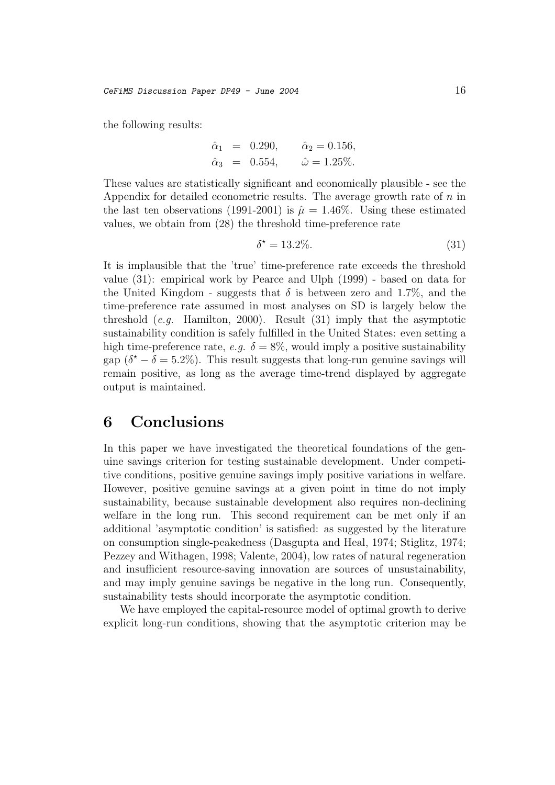the following results:

$$
\hat{\alpha}_1 = 0.290,
$$
  $\hat{\alpha}_2 = 0.156,$   
\n $\hat{\alpha}_3 = 0.554,$   $\hat{\omega} = 1.25\%.$ 

These values are statistically significant and economically plausible - see the Appendix for detailed econometric results. The average growth rate of  $n$  in the last ten observations (1991-2001) is  $\hat{\mu} = 1.46\%$ . Using these estimated values, we obtain from (28) the threshold time-preference rate

$$
\delta^* = 13.2\%.\tag{31}
$$

It is implausible that the 'true' time-preference rate exceeds the threshold value (31): empirical work by Pearce and Ulph (1999) - based on data for the United Kingdom - suggests that  $\delta$  is between zero and 1.7%, and the time-preference rate assumed in most analyses on SD is largely below the threshold  $(e.g.$  Hamilton, 2000). Result  $(31)$  imply that the asymptotic sustainability condition is safely fulfilled in the United States: even setting a high time-preference rate, e.g.  $\delta = 8\%$ , would imply a positive sustainability gap  $(\delta^* - \delta = 5.2\%)$ . This result suggests that long-run genuine savings will remain positive, as long as the average time-trend displayed by aggregate output is maintained.

### **6 Conclusions**

In this paper we have investigated the theoretical foundations of the genuine savings criterion for testing sustainable development. Under competitive conditions, positive genuine savings imply positive variations in welfare. However, positive genuine savings at a given point in time do not imply sustainability, because sustainable development also requires non-declining welfare in the long run. This second requirement can be met only if an additional 'asymptotic condition' is satisfied: as suggested by the literature on consumption single-peakedness (Dasgupta and Heal, 1974; Stiglitz, 1974; Pezzey and Withagen, 1998; Valente, 2004), low rates of natural regeneration and insufficient resource-saving innovation are sources of unsustainability, and may imply genuine savings be negative in the long run. Consequently, sustainability tests should incorporate the asymptotic condition.

We have employed the capital-resource model of optimal growth to derive explicit long-run conditions, showing that the asymptotic criterion may be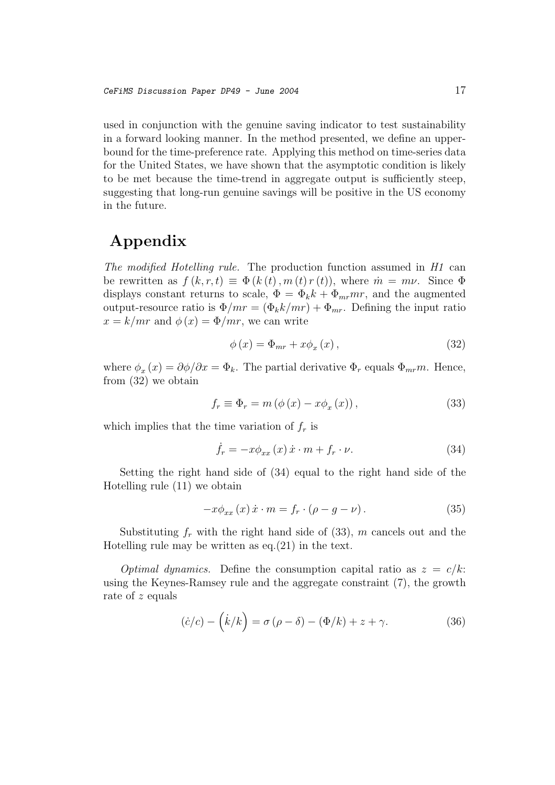used in conjunction with the genuine saving indicator to test sustainability in a forward looking manner. In the method presented, we define an upperbound for the time-preference rate. Applying this method on time-series data for the United States, we have shown that the asymptotic condition is likely to be met because the time-trend in aggregate output is sufficiently steep, suggesting that long-run genuine savings will be positive in the US economy in the future.

# **Appendix**

The modified Hotelling rule. The production function assumed in H1 can be rewritten as  $f(k, r, t) \equiv \Phi(k(t), m(t) r(t))$ , where  $\dot{m} = m\nu$ . Since  $\Phi$ displays constant returns to scale,  $\Phi = \Phi_k k + \Phi_{mr} mr$ , and the augmented output-resource ratio is  $\Phi/mr = (\Phi_k k/mr) + \Phi_{mr}$ . Defining the input ratio  $x = k/mr$  and  $\phi(x) = \Phi/mr$ , we can write

$$
\phi(x) = \Phi_{mr} + x\phi_x(x), \qquad (32)
$$

where  $\phi_x(x) = \partial \phi / \partial x = \Phi_k$ . The partial derivative  $\Phi_r$  equals  $\Phi_{mr}m$ . Hence, from (32) we obtain

$$
f_r \equiv \Phi_r = m \left( \phi \left( x \right) - x \phi_x \left( x \right) \right),\tag{33}
$$

which implies that the time variation of  $f_r$  is

$$
\dot{f}_r = -x \phi_{xx}(x) \dot{x} \cdot m + f_r \cdot \nu. \tag{34}
$$

Setting the right hand side of (34) equal to the right hand side of the Hotelling rule (11) we obtain

$$
-x\phi_{xx}(x)\dot{x}\cdot m = f_r\cdot(\rho - g - \nu). \tag{35}
$$

Substituting  $f_r$  with the right hand side of (33), m cancels out and the Hotelling rule may be written as eq.(21) in the text.

*Optimal dynamics.* Define the consumption capital ratio as  $z = c/k$ : using the Keynes-Ramsey rule and the aggregate constraint (7), the growth rate of z equals

$$
(\dot{c}/c) - (\dot{k}/k) = \sigma (\rho - \delta) - (\Phi/k) + z + \gamma.
$$
 (36)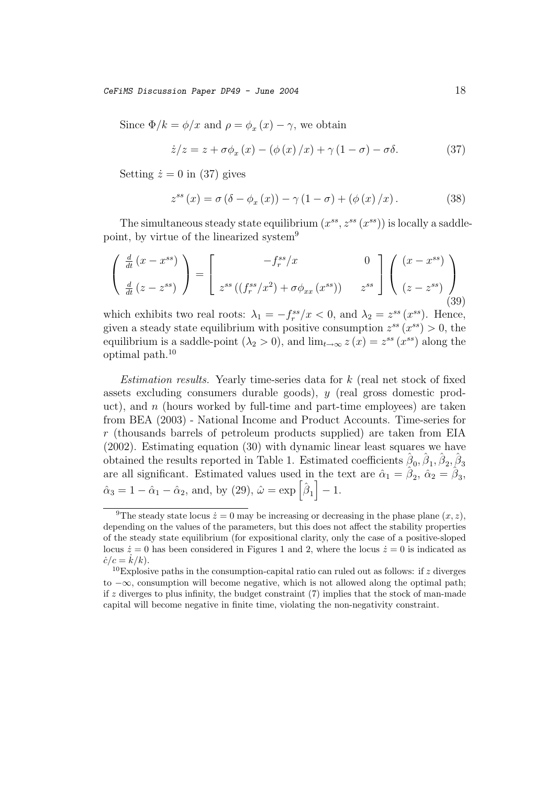$CefiMS$  Discussion Paper DP49 - June 2004 18

Since  $\Phi/k = \phi/x$  and  $\rho = \phi_x(x) - \gamma$ , we obtain

$$
\dot{z}/z = z + \sigma \phi_x(x) - (\phi(x)/x) + \gamma (1 - \sigma) - \sigma \delta. \tag{37}
$$

Setting  $\dot{z} = 0$  in (37) gives

$$
z^{ss}(x) = \sigma(\delta - \phi_x(x)) - \gamma(1 - \sigma) + (\phi(x)/x). \tag{38}
$$

The simultaneous steady state equilibrium  $(x^{ss}, z^{ss}(x^{ss}))$  is locally a saddlepoint, by virtue of the linearized system<sup>9</sup>

$$
\begin{pmatrix}\n\frac{d}{dt}(x - x^{ss}) \\
\frac{d}{dt}(z - z^{ss})\n\end{pmatrix} = \begin{bmatrix}\n-f_r^{ss}/x & 0 \\
z^{ss}((f_r^{ss}/x^2) + \sigma \phi_{xx}(x^{ss})) & z^{ss}\n\end{bmatrix} \begin{pmatrix}\n(x - x^{ss}) \\
(z - z^{ss})\n\end{pmatrix}
$$
\n(39)

which exhibits two real roots:  $\lambda_1 = -f_r^{ss}/x < 0$ , and  $\lambda_2 = z^{ss}(x^{ss})$ . Hence, given a steady state equilibrium with positive consumption  $z^{ss}(x^{ss}) > 0$ , the equilibrium is a saddle-point  $(\lambda_2 > 0)$ , and  $\lim_{t\to\infty} z(x) = z^{ss}(x^{ss})$  along the optimal path.<sup>10</sup>

Estimation results. Yearly time-series data for k (real net stock of fixed assets excluding consumers durable goods), y (real gross domestic product), and  $n$  (hours worked by full-time and part-time employees) are taken from BEA (2003) - National Income and Product Accounts. Time-series for  $r$  (thousands barrels of petroleum products supplied) are taken from EIA (2002). Estimating equation (30) with dynamic linear least squares we have obtained the results reported in Table 1. Estimated coefficients  $\beta_0$ ,  $\beta_1$ ,  $\beta_2$ ,  $\beta_3$ are all significant. Estimated values used in the text are  $\hat{\alpha}_1 = \hat{\beta}_2$ ,  $\hat{\alpha}_2 = \hat{\beta}_3$ ,  $\hat{\alpha}_3 = 1 - \hat{\alpha}_1 - \hat{\alpha}_2$ , and, by (29),  $\hat{\omega} = \exp\left[\hat{\beta}_1\right] - 1$ .

<sup>&</sup>lt;sup>9</sup>The steady state locus  $\dot{z} = 0$  may be increasing or decreasing in the phase plane  $(x, z)$ , depending on the values of the parameters, but this does not affect the stability properties of the steady state equilibrium (for expositional clarity, only the case of a positive-sloped locus  $\dot{z} = 0$  has been considered in Figures 1 and 2, where the locus  $\dot{z} = 0$  is indicated as  $\dot{c}/c = \dot{k}/k$ .<br><sup>10</sup>Explosi

<sup>&</sup>lt;sup>10</sup>Explosive paths in the consumption-capital ratio can ruled out as follows: if z diverges to −∞, consumption will become negative, which is not allowed along the optimal path; if z diverges to plus infinity, the budget constraint  $(7)$  implies that the stock of man-made capital will become negative in finite time, violating the non-negativity constraint.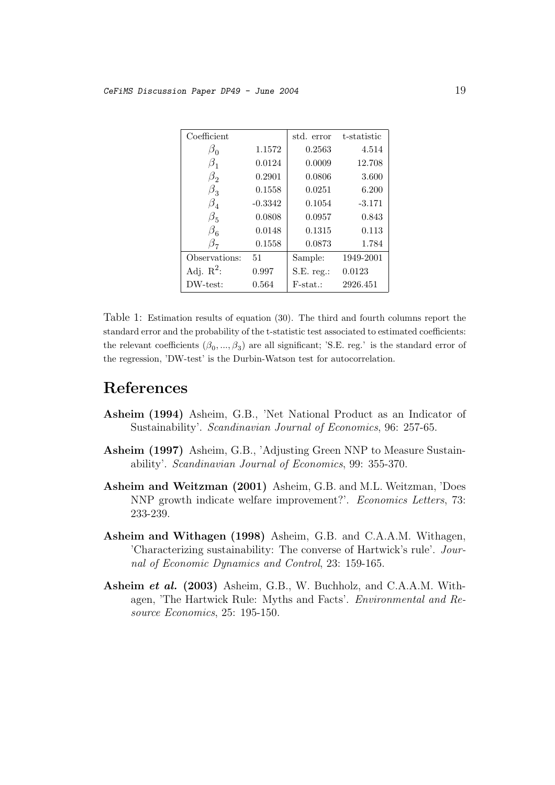| Coefficient   |           | std. error  | t-statistic |
|---------------|-----------|-------------|-------------|
| $\beta_0$     | 1.1572    | 0.2563      | 4.514       |
| $\beta_1$     | 0.0124    | 0.0009      | 12.708      |
| $\beta_2$     | 0.2901    | 0.0806      | 3.600       |
| $\beta_3$     | 0.1558    | 0.0251      | 6.200       |
| $\beta_{4}$   | $-0.3342$ | 0.1054      | $-3.171$    |
| $\beta_5$     | 0.0808    | 0.0957      | 0.843       |
| $\beta_{6}$   | 0.0148    | 0.1315      | 0.113       |
| $\beta_{7}$   | 0.1558    | 0.0873      | 1.784       |
| Observations: | 51        | Sample:     | 1949-2001   |
| Adj. $R^2$ :  | 0.997     | S.E. reg.   | 0.0123      |
| DW-test:      | 0.564     | $F-stat.$ : | 2926.451    |

Table 1: Estimation results of equation (30). The third and fourth columns report the standard error and the probability of the t-statistic test associated to estimated coefficients: the relevant coefficients  $(\beta_0, ..., \beta_3)$  are all significant; 'S.E. reg.' is the standard error of the regression, 'DW-test' is the Durbin-Watson test for autocorrelation.

## **References**

- **Asheim (1994)** Asheim, G.B., 'Net National Product as an Indicator of Sustainability'. Scandinavian Journal of Economics, 96: 257-65.
- **Asheim (1997)** Asheim, G.B., 'Adjusting Green NNP to Measure Sustainability'. Scandinavian Journal of Economics, 99: 355-370.
- **Asheim and Weitzman (2001)** Asheim, G.B. and M.L. Weitzman, 'Does NNP growth indicate welfare improvement?'. Economics Letters, 73: 233-239.
- **Asheim and Withagen (1998)** Asheim, G.B. and C.A.A.M. Withagen, 'Characterizing sustainability: The converse of Hartwick's rule'. Journal of Economic Dynamics and Control, 23: 159-165.
- **Asheim** *et al.* **(2003)** Asheim, G.B., W. Buchholz, and C.A.A.M. Withagen, 'The Hartwick Rule: Myths and Facts'. Environmental and Resource Economics, 25: 195-150.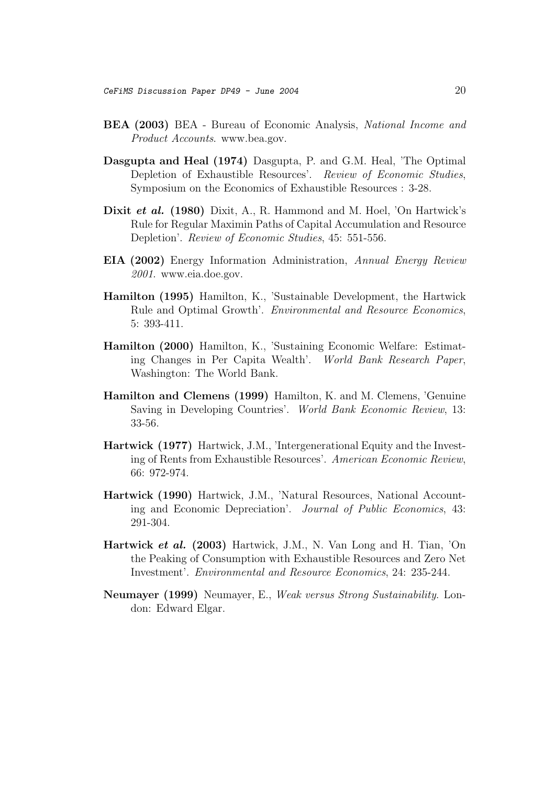- **BEA (2003)** BEA Bureau of Economic Analysis, National Income and Product Accounts. www.bea.gov.
- **Dasgupta and Heal (1974)** Dasgupta, P. and G.M. Heal, 'The Optimal Depletion of Exhaustible Resources'. Review of Economic Studies, Symposium on the Economics of Exhaustible Resources : 3-28.
- **Dixit** *et al.* **(1980)** Dixit, A., R. Hammond and M. Hoel, 'On Hartwick's Rule for Regular Maximin Paths of Capital Accumulation and Resource Depletion'. Review of Economic Studies, 45: 551-556.
- **EIA (2002)** Energy Information Administration, Annual Energy Review 2001. www.eia.doe.gov.
- **Hamilton (1995)** Hamilton, K., 'Sustainable Development, the Hartwick Rule and Optimal Growth'. Environmental and Resource Economics, 5: 393-411.
- **Hamilton (2000)** Hamilton, K., 'Sustaining Economic Welfare: Estimating Changes in Per Capita Wealth'. World Bank Research Paper, Washington: The World Bank.
- **Hamilton and Clemens (1999)** Hamilton, K. and M. Clemens, 'Genuine Saving in Developing Countries'. World Bank Economic Review, 13: 33-56.
- **Hartwick (1977)** Hartwick, J.M., 'Intergenerational Equity and the Investing of Rents from Exhaustible Resources'. American Economic Review, 66: 972-974.
- **Hartwick (1990)** Hartwick, J.M., 'Natural Resources, National Accounting and Economic Depreciation'. Journal of Public Economics, 43: 291-304.
- **Hartwick** *et al.* **(2003)** Hartwick, J.M., N. Van Long and H. Tian, 'On the Peaking of Consumption with Exhaustible Resources and Zero Net Investment'. Environmental and Resource Economics, 24: 235-244.
- **Neumayer (1999)** Neumayer, E., Weak versus Strong Sustainability. London: Edward Elgar.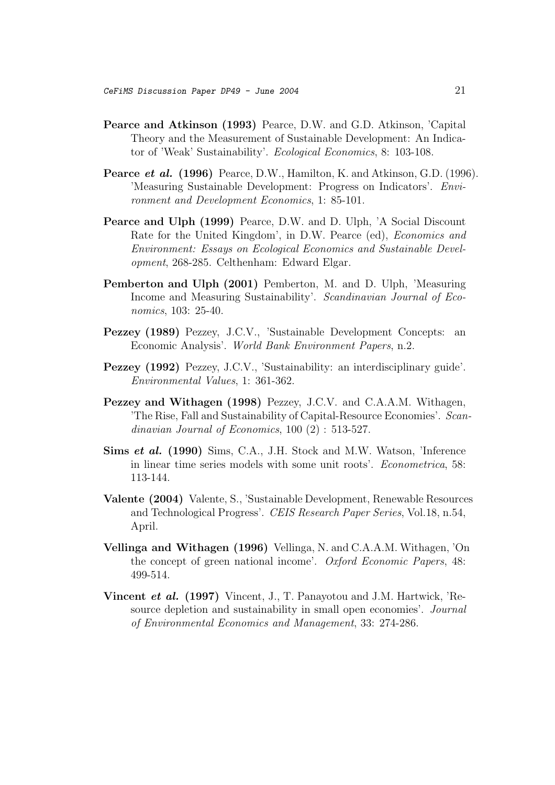- **Pearce and Atkinson (1993)** Pearce, D.W. and G.D. Atkinson, 'Capital Theory and the Measurement of Sustainable Development: An Indicator of 'Weak' Sustainability'. Ecological Economics, 8: 103-108.
- **Pearce** *et al.* **(1996)** Pearce, D.W., Hamilton, K. and Atkinson, G.D. (1996). 'Measuring Sustainable Development: Progress on Indicators'. Environment and Development Economics, 1: 85-101.
- **Pearce and Ulph (1999)** Pearce, D.W. and D. Ulph, 'A Social Discount Rate for the United Kingdom', in D.W. Pearce (ed), Economics and Environment: Essays on Ecological Economics and Sustainable Development, 268-285. Celthenham: Edward Elgar.
- **Pemberton and Ulph (2001)** Pemberton, M. and D. Ulph, 'Measuring Income and Measuring Sustainability'. Scandinavian Journal of Economics, 103: 25-40.
- **Pezzey (1989)** Pezzey, J.C.V., 'Sustainable Development Concepts: an Economic Analysis'. World Bank Environment Papers, n.2.
- **Pezzey (1992)** Pezzey, J.C.V., 'Sustainability: an interdisciplinary guide'. Environmental Values, 1: 361-362.
- **Pezzey and Withagen (1998)** Pezzey, J.C.V. and C.A.A.M. Withagen, 'The Rise, Fall and Sustainability of Capital-Resource Economies'. Scandinavian Journal of Economics, 100 (2) : 513-527.
- **Sims** *et al.* **(1990)** Sims, C.A., J.H. Stock and M.W. Watson, 'Inference in linear time series models with some unit roots'. Econometrica, 58: 113-144.
- **Valente (2004)** Valente, S., 'Sustainable Development, Renewable Resources and Technological Progress'. CEIS Research Paper Series, Vol.18, n.54, April.
- **Vellinga and Withagen (1996)** Vellinga, N. and C.A.A.M. Withagen, 'On the concept of green national income'. Oxford Economic Papers, 48: 499-514.
- **Vincent** *et al.* **(1997)** Vincent, J., T. Panayotou and J.M. Hartwick, 'Resource depletion and sustainability in small open economies'. Journal of Environmental Economics and Management, 33: 274-286.